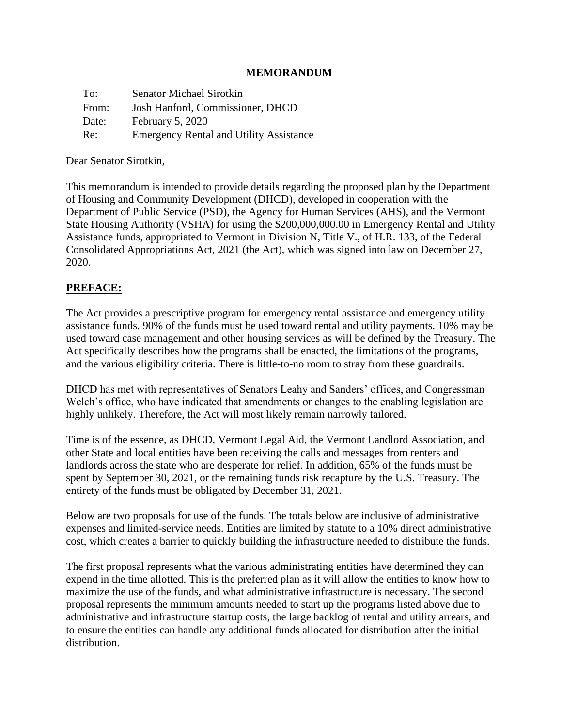### **MEMORANDUM**

| To:   | <b>Senator Michael Sirotkin</b>                |
|-------|------------------------------------------------|
| From: | Josh Hanford, Commissioner, DHCD               |
| Date: | February 5, 2020                               |
| Re:   | <b>Emergency Rental and Utility Assistance</b> |

Dear Senator Sirotkin,

This memorandum is intended to provide details regarding the proposed plan by the Department of Housing and Community Development (DHCD), developed in cooperation with the Department of Public Service (PSD), the Agency for Human Services (AHS), and the Vermont State Housing Authority (VSHA) for using the \$200,000,000.00 in Emergency Rental and Utility Assistance funds, appropriated to Vermont in Division N, Title V., of H.R. 133, of the Federal Consolidated Appropriations Act, 2021 (the Act), which was signed into law on December 27, 2020.

### **PREFACE:**

The Act provides a prescriptive program for emergency rental assistance and emergency utility assistance funds. 90% of the funds must be used toward rental and utility payments. 10% may be used toward case management and other housing services as will be defined by the Treasury. The Act specifically describes how the programs shall be enacted, the limitations of the programs, and the various eligibility criteria. There is little-to-no room to stray from these guardrails.

DHCD has met with representatives of Senators Leahy and Sanders' offices, and Congressman Welch's office, who have indicated that amendments or changes to the enabling legislation are highly unlikely. Therefore, the Act will most likely remain narrowly tailored.

Time is of the essence, as DHCD, Vermont Legal Aid, the Vermont Landlord Association, and other State and local entities have been receiving the calls and messages from renters and landlords across the state who are desperate for relief. In addition, 65% of the funds must be spent by September 30, 2021, or the remaining funds risk recapture by the U.S. Treasury. The entirety of the funds must be obligated by December 31, 2021.

Below are two proposals for use of the funds. The totals below are inclusive of administrative expenses and limited-service needs. Entities are limited by statute to a 10% direct administrative cost, which creates a barrier to quickly building the infrastructure needed to distribute the funds.

The first proposal represents what the various administrating entities have determined they can expend in the time allotted. This is the preferred plan as it will allow the entities to know how to maximize the use of the funds, and what administrative infrastructure is necessary. The second proposal represents the minimum amounts needed to start up the programs listed above due to administrative and infrastructure startup costs, the large backlog of rental and utility arrears, and to ensure the entities can handle any additional funds allocated for distribution after the initial distribution.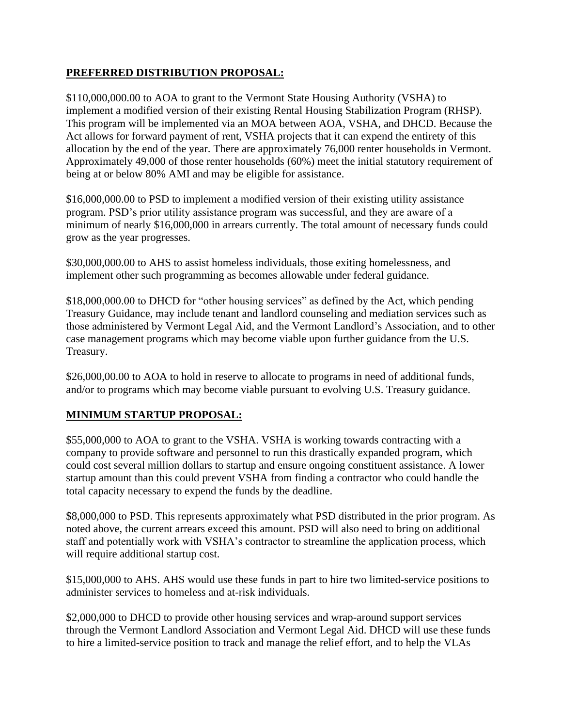## **PREFERRED DISTRIBUTION PROPOSAL:**

\$110,000,000.00 to AOA to grant to the Vermont State Housing Authority (VSHA) to implement a modified version of their existing Rental Housing Stabilization Program (RHSP). This program will be implemented via an MOA between AOA, VSHA, and DHCD. Because the Act allows for forward payment of rent, VSHA projects that it can expend the entirety of this allocation by the end of the year. There are approximately 76,000 renter households in Vermont. Approximately 49,000 of those renter households (60%) meet the initial statutory requirement of being at or below 80% AMI and may be eligible for assistance.

\$16,000,000.00 to PSD to implement a modified version of their existing utility assistance program. PSD's prior utility assistance program was successful, and they are aware of a minimum of nearly \$16,000,000 in arrears currently. The total amount of necessary funds could grow as the year progresses.

\$30,000,000.00 to AHS to assist homeless individuals, those exiting homelessness, and implement other such programming as becomes allowable under federal guidance.

\$18,000,000.00 to DHCD for "other housing services" as defined by the Act, which pending Treasury Guidance, may include tenant and landlord counseling and mediation services such as those administered by Vermont Legal Aid, and the Vermont Landlord's Association, and to other case management programs which may become viable upon further guidance from the U.S. Treasury.

\$26,000,00.00 to AOA to hold in reserve to allocate to programs in need of additional funds, and/or to programs which may become viable pursuant to evolving U.S. Treasury guidance.

# **MINIMUM STARTUP PROPOSAL:**

\$55,000,000 to AOA to grant to the VSHA. VSHA is working towards contracting with a company to provide software and personnel to run this drastically expanded program, which could cost several million dollars to startup and ensure ongoing constituent assistance. A lower startup amount than this could prevent VSHA from finding a contractor who could handle the total capacity necessary to expend the funds by the deadline.

\$8,000,000 to PSD. This represents approximately what PSD distributed in the prior program. As noted above, the current arrears exceed this amount. PSD will also need to bring on additional staff and potentially work with VSHA's contractor to streamline the application process, which will require additional startup cost.

\$15,000,000 to AHS. AHS would use these funds in part to hire two limited-service positions to administer services to homeless and at-risk individuals.

\$2,000,000 to DHCD to provide other housing services and wrap-around support services through the Vermont Landlord Association and Vermont Legal Aid. DHCD will use these funds to hire a limited-service position to track and manage the relief effort, and to help the VLAs